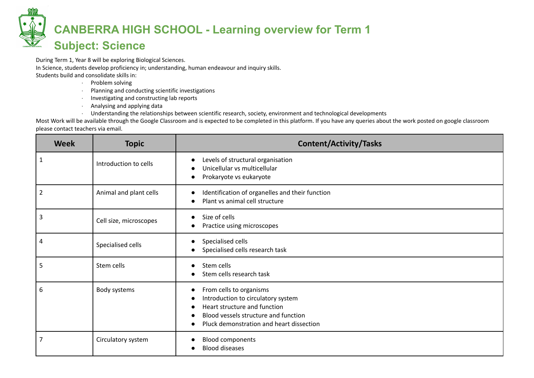## **CANBERRA HIGH SCHOOL - Learning overview for Term 1 Subject: Science**

During Term 1, Year 8 will be exploring Biological Sciences. In Science, students develop proficiency in; understanding, human endeavour and inquiry skills. Students build and consolidate skills in:

- · Problem solving
- · Planning and conducting scientific investigations
- · Investigating and constructing lab reports
- · Analysing and applying data
- · Understanding the relationships between scientific research, society, environment and technological developments

Most Work will be available through the Google Classroom and is expected to be completed in this platform. If you have any queries about the work posted on google classroom please contact teachers via email.

| <b>Week</b>    | <b>Topic</b>           | <b>Content/Activity/Tasks</b>                                                                                                                                                                  |
|----------------|------------------------|------------------------------------------------------------------------------------------------------------------------------------------------------------------------------------------------|
| $\mathbf{1}$   | Introduction to cells  | Levels of structural organisation<br>Unicellular vs multicellular<br>Prokaryote vs eukaryote<br>$\bullet$                                                                                      |
| $\overline{2}$ | Animal and plant cells | Identification of organelles and their function<br>Plant vs animal cell structure                                                                                                              |
| $\overline{3}$ | Cell size, microscopes | Size of cells<br>Practice using microscopes                                                                                                                                                    |
| 4              | Specialised cells      | Specialised cells<br>Specialised cells research task                                                                                                                                           |
| 5              | Stem cells             | Stem cells<br>$\bullet$<br>Stem cells research task                                                                                                                                            |
| 6              | Body systems           | From cells to organisms<br>$\bullet$<br>Introduction to circulatory system<br>Heart structure and function<br>Blood vessels structure and function<br>Pluck demonstration and heart dissection |
| 7              | Circulatory system     | <b>Blood components</b><br><b>Blood diseases</b>                                                                                                                                               |